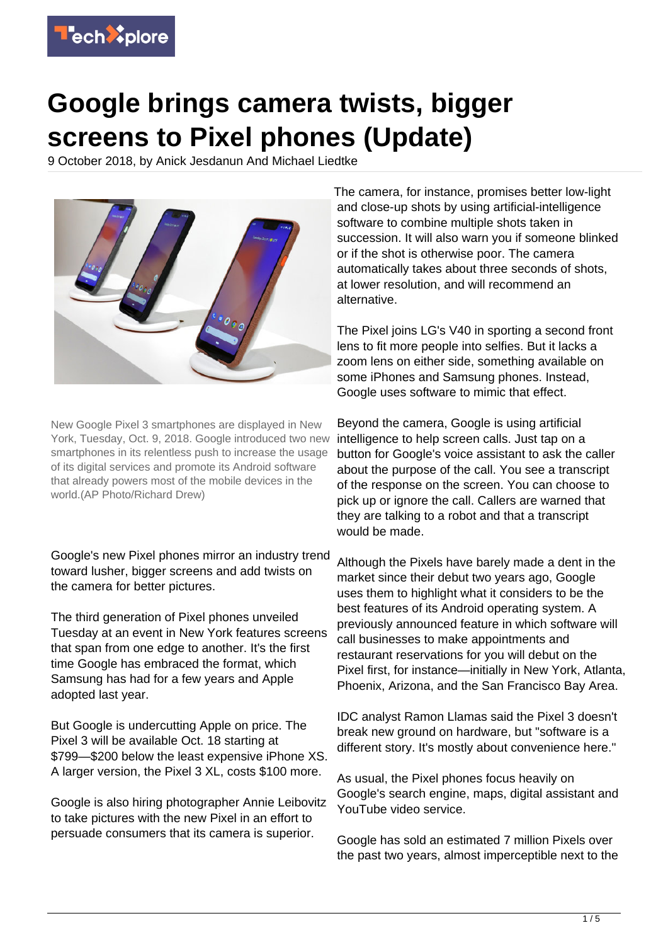

## **Google brings camera twists, bigger screens to Pixel phones (Update)**

9 October 2018, by Anick Jesdanun And Michael Liedtke



New Google Pixel 3 smartphones are displayed in New York, Tuesday, Oct. 9, 2018. Google introduced two new smartphones in its relentless push to increase the usage of its digital services and promote its Android software that already powers most of the mobile devices in the world.(AP Photo/Richard Drew)

Google's new Pixel phones mirror an industry trend toward lusher, bigger screens and add twists on the camera for better pictures.

The third generation of Pixel phones unveiled Tuesday at an event in New York features screens that span from one edge to another. It's the first time Google has embraced the format, which Samsung has had for a few years and Apple adopted last year.

But Google is undercutting Apple on price. The Pixel 3 will be available Oct. 18 starting at \$799—\$200 below the least expensive iPhone XS. A larger version, the Pixel 3 XL, costs \$100 more.

Google is also hiring photographer Annie Leibovitz to take pictures with the new Pixel in an effort to persuade consumers that its camera is superior.

The camera, for instance, promises better low-light and close-up shots by using artificial-intelligence software to combine multiple shots taken in succession. It will also warn you if someone blinked or if the shot is otherwise poor. The camera automatically takes about three seconds of shots, at lower resolution, and will recommend an alternative.

The Pixel joins LG's V40 in sporting a second front lens to fit more people into selfies. But it lacks a zoom lens on either side, something available on some iPhones and Samsung phones. Instead, Google uses software to mimic that effect.

Beyond the camera, Google is using artificial intelligence to help screen calls. Just tap on a button for Google's voice assistant to ask the caller about the purpose of the call. You see a transcript of the response on the screen. You can choose to pick up or ignore the call. Callers are warned that they are talking to a robot and that a transcript would be made.

Although the Pixels have barely made a dent in the market since their debut two years ago, Google uses them to highlight what it considers to be the best features of its Android operating system. A previously announced feature in which software will call businesses to make appointments and restaurant reservations for you will debut on the Pixel first, for instance—initially in New York, Atlanta, Phoenix, Arizona, and the San Francisco Bay Area.

IDC analyst Ramon Llamas said the Pixel 3 doesn't break new ground on hardware, but "software is a different story. It's mostly about convenience here."

As usual, the Pixel phones focus heavily on Google's search engine, maps, digital assistant and YouTube video service.

Google has sold an estimated 7 million Pixels over the past two years, almost imperceptible next to the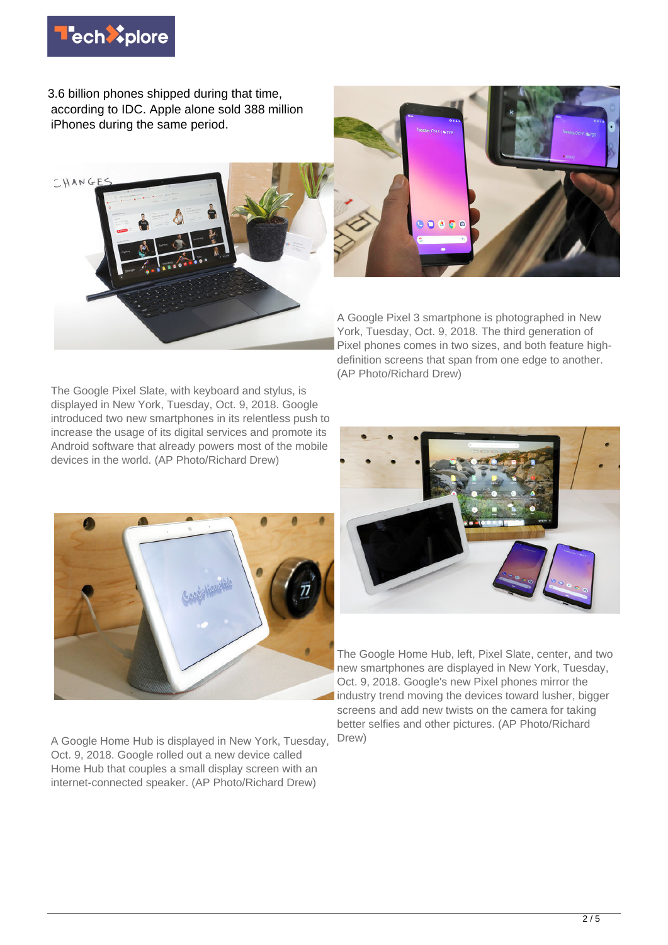

3.6 billion phones shipped during that time, according to IDC. Apple alone sold 388 million iPhones during the same period.





A Google Pixel 3 smartphone is photographed in New York, Tuesday, Oct. 9, 2018. The third generation of Pixel phones comes in two sizes, and both feature highdefinition screens that span from one edge to another. (AP Photo/Richard Drew)

The Google Pixel Slate, with keyboard and stylus, is displayed in New York, Tuesday, Oct. 9, 2018. Google introduced two new smartphones in its relentless push to increase the usage of its digital services and promote its Android software that already powers most of the mobile devices in the world. (AP Photo/Richard Drew)



A Google Home Hub is displayed in New York, Tuesday, Oct. 9, 2018. Google rolled out a new device called Home Hub that couples a small display screen with an internet-connected speaker. (AP Photo/Richard Drew)



The Google Home Hub, left, Pixel Slate, center, and two new smartphones are displayed in New York, Tuesday, Oct. 9, 2018. Google's new Pixel phones mirror the industry trend moving the devices toward lusher, bigger screens and add new twists on the camera for taking better selfies and other pictures. (AP Photo/Richard Drew)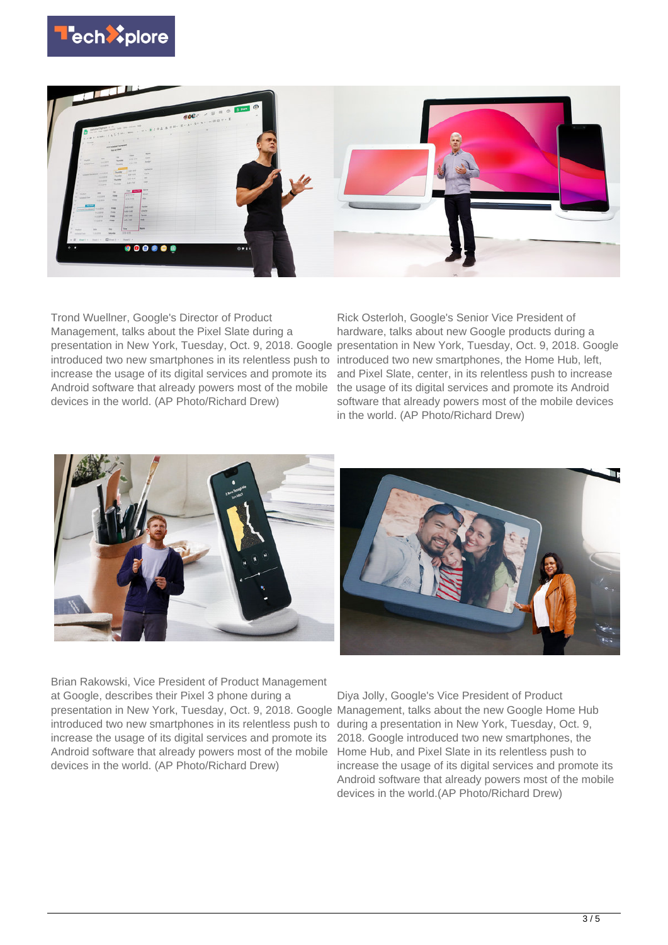



Trond Wuellner, Google's Director of Product Management, talks about the Pixel Slate during a introduced two new smartphones in its relentless push to increase the usage of its digital services and promote its Android software that already powers most of the mobile devices in the world. (AP Photo/Richard Drew)

presentation in New York, Tuesday, Oct. 9, 2018. Google presentation in New York, Tuesday, Oct. 9, 2018. Google Rick Osterloh, Google's Senior Vice President of hardware, talks about new Google products during a introduced two new smartphones, the Home Hub, left, and Pixel Slate, center, in its relentless push to increase the usage of its digital services and promote its Android software that already powers most of the mobile devices in the world. (AP Photo/Richard Drew)



Brian Rakowski, Vice President of Product Management at Google, describes their Pixel 3 phone during a presentation in New York, Tuesday, Oct. 9, 2018. Google Management, talks about the new Google Home Hub introduced two new smartphones in its relentless push to increase the usage of its digital services and promote its Android software that already powers most of the mobile devices in the world. (AP Photo/Richard Drew)

Diya Jolly, Google's Vice President of Product during a presentation in New York, Tuesday, Oct. 9, 2018. Google introduced two new smartphones, the Home Hub, and Pixel Slate in its relentless push to increase the usage of its digital services and promote its Android software that already powers most of the mobile devices in the world.(AP Photo/Richard Drew)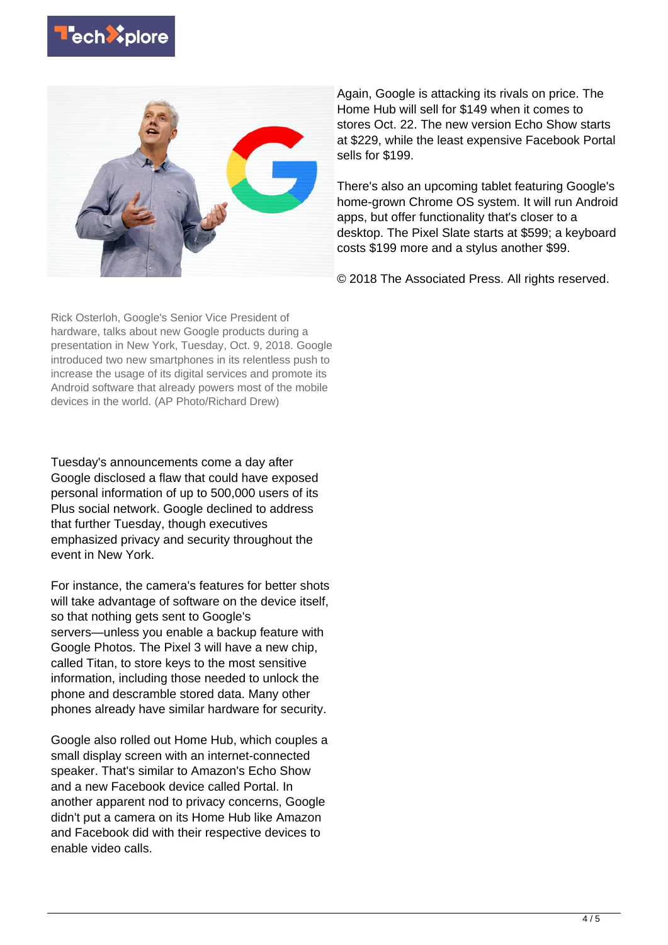



Again, Google is attacking its rivals on price. The Home Hub will sell for \$149 when it comes to stores Oct. 22. The new version Echo Show starts at \$229, while the least expensive Facebook Portal sells for \$199.

There's also an upcoming tablet featuring Google's home-grown Chrome OS system. It will run Android apps, but offer functionality that's closer to a desktop. The Pixel Slate starts at \$599; a keyboard costs \$199 more and a stylus another \$99.

© 2018 The Associated Press. All rights reserved.

Rick Osterloh, Google's Senior Vice President of hardware, talks about new Google products during a presentation in New York, Tuesday, Oct. 9, 2018. Google introduced two new smartphones in its relentless push to increase the usage of its digital services and promote its Android software that already powers most of the mobile devices in the world. (AP Photo/Richard Drew)

Tuesday's announcements come a day after Google disclosed a flaw that could have exposed personal information of up to 500,000 users of its Plus social network. Google declined to address that further Tuesday, though executives emphasized privacy and security throughout the event in New York.

For instance, the camera's features for better shots will take advantage of software on the device itself, so that nothing gets sent to Google's servers—unless you enable a backup feature with Google Photos. The Pixel 3 will have a new chip, called Titan, to store keys to the most sensitive information, including those needed to unlock the phone and descramble stored data. Many other phones already have similar hardware for security.

Google also rolled out Home Hub, which couples a small display screen with an internet-connected speaker. That's similar to Amazon's Echo Show and a new Facebook device called Portal. In another apparent nod to privacy concerns, Google didn't put a camera on its Home Hub like Amazon and Facebook did with their respective devices to enable video calls.